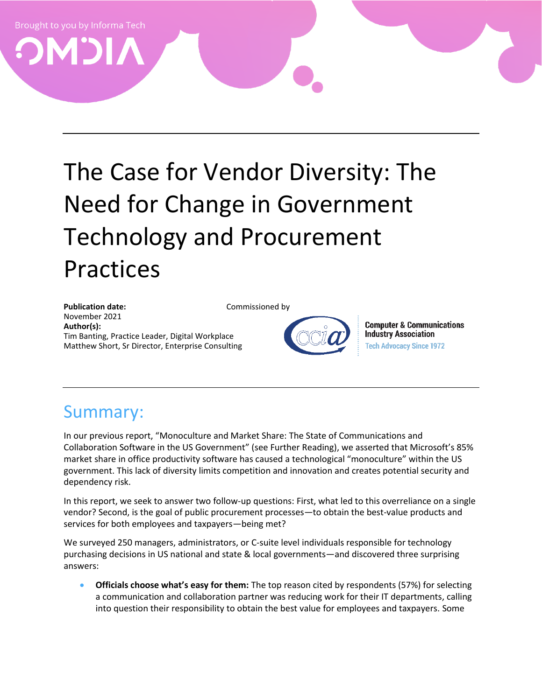# The Case for Vendor Diversity: The Need for Change in Government Technology and Procurement Practices

Publication date: Commissioned by November 2021 **Author(s):** Tim Banting, Practice Leader, Digital Workplace Matthew Short, Sr Director, Enterprise Consulting

**Computer & Communications Industry Association Tech Advocacy Since 1972** 

## Summary:

In our previous report, "[Monoculture and Market Share: The State of Communications and](https://omdia.tech.informa.com/-/media/tech/omdia/marketing/commissioned-research/pdfs/monoculture-and-market-share-the-state-of-communications-and-collaboration-software-in-the-us-government-v3.pdf?rev=8d41cc2d16de491b9f59d2906309fdaa)  [Collaboration Software in the US Government](https://omdia.tech.informa.com/-/media/tech/omdia/marketing/commissioned-research/pdfs/monoculture-and-market-share-the-state-of-communications-and-collaboration-software-in-the-us-government-v3.pdf?rev=8d41cc2d16de491b9f59d2906309fdaa)" (see Further Reading), we asserted that Microsoft's 85% market share in office productivity software has caused a technological "monoculture" within the US government. This lack of diversity limits competition and innovation and creates potential security and dependency risk.

In this report, we seek to answer two follow-up questions: First, what led to this overreliance on a single vendor? Second, is the goal of public procurement processes—to obtain the best-value products and services for both employees and taxpayers—being met?

We surveyed 250 managers, administrators, or C-suite level individuals responsible for technology purchasing decisions in US national and state & local governments—and discovered three surprising answers:

• **Officials choose what's easy for them:** The top reason cited by respondents (57%) for selecting a communication and collaboration partner was reducing work for their IT departments, calling into question their responsibility to obtain the best value for employees and taxpayers. Some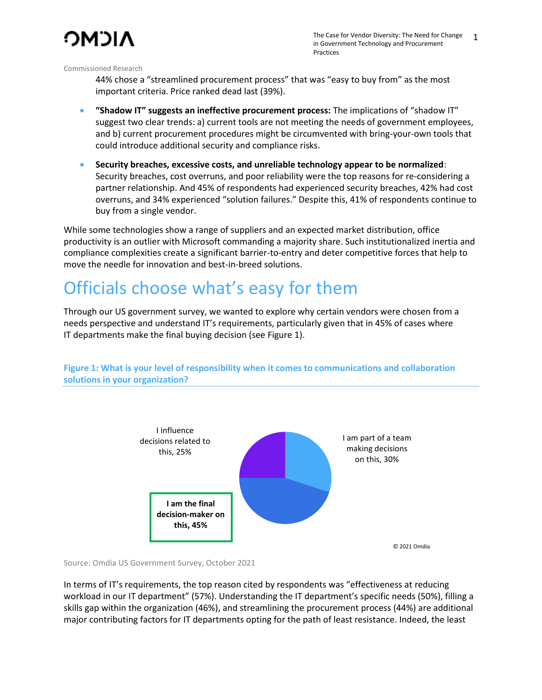

44% chose a "streamlined procurement process" that was "easy to buy from" as the most important criteria. Price ranked dead last (39%).

- **"Shadow IT" suggests an ineffective procurement process:** The implications of "shadow IT" suggest two clear trends: a) current tools are not meeting the needs of government employees, and b) current procurement procedures might be circumvented with bring-your-own tools that could introduce additional security and compliance risks.
- **Security breaches, excessive costs, and unreliable technology appear to be normalized**: Security breaches, cost overruns, and poor reliability were the top reasons for re-considering a partner relationship. And 45% of respondents had experienced security breaches, 42% had cost overruns, and 34% experienced "solution failures." Despite this, 41% of respondents continue to buy from a single vendor.

While some technologies show a range of suppliers and an expected market distribution, office productivity is an outlier with Microsoft commanding a majority share. Such institutionalized inertia and compliance complexities create a significant barrier-to-entry and deter competitive forces that help to move the needle for innovation and best-in-breed solutions.

## Officials choose what's easy for them

Through our US government survey, we wanted to explore why certain vendors were chosen from a needs perspective and understand IT's requirements, particularly given that in 45% of cases where IT departments make the final buying decision (see Figure 1).

> I am part of a team making decisions on this, 30% **I am the final decision-maker on this, 45%** I influence decisions related to this, 25% © 2021 Omdia

**Figure 1: What is your level of responsibility when it comes to communications and collaboration solutions in your organization?**

Source: Omdia US Government Survey, October 2021

In terms of IT's requirements, the top reason cited by respondents was "effectiveness at reducing workload in our IT department" (57%). Understanding the IT department's specific needs (50%), filling a skills gap within the organization (46%), and streamlining the procurement process (44%) are additional major contributing factors for IT departments opting for the path of least resistance. Indeed, the least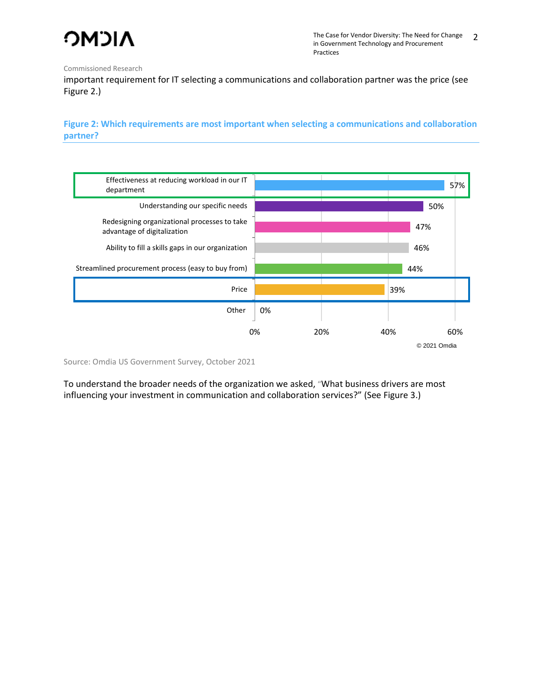

important requirement for IT selecting a communications and collaboration partner was the price (see Figure 2.)

**Figure 2: Which requirements are most important when selecting a communications and collaboration partner?**



Source: Omdia US Government Survey, October 2021

To understand the broader needs of the organization we asked, "What business drivers are most influencing your investment in communication and collaboration services?" (See Figure 3.)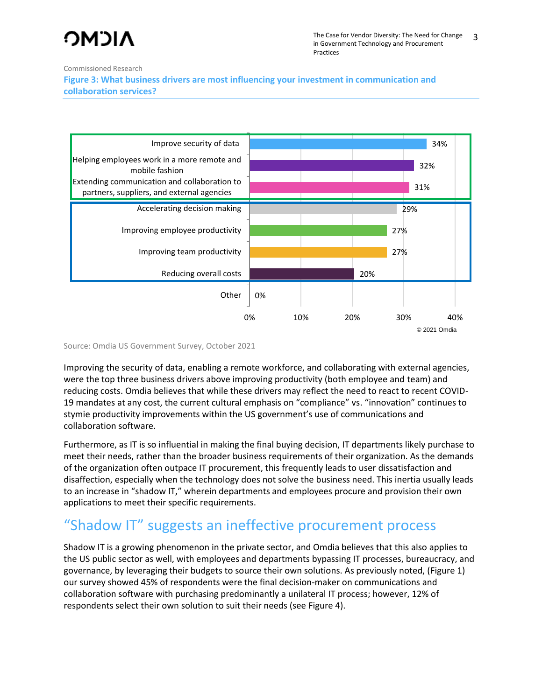# ΩNCMO

Commissioned Research

**Figure 3: What business drivers are most influencing your investment in communication and collaboration services?**



Source: Omdia US Government Survey, October 2021

Improving the security of data, enabling a remote workforce, and collaborating with external agencies, were the top three business drivers above improving productivity (both employee and team) and reducing costs. Omdia believes that while these drivers may reflect the need to react to recent COVID-19 mandates at any cost, the current cultural emphasis on "compliance" vs. "innovation" continues to stymie productivity improvements within the US government's use of communications and collaboration software.

Furthermore, as IT is so influential in making the final buying decision, IT departments likely purchase to meet their needs, rather than the broader business requirements of their organization. As the demands of the organization often outpace IT procurement, this frequently leads to user dissatisfaction and disaffection, especially when the technology does not solve the business need. This inertia usually leads to an increase in "shadow IT," wherein departments and employees procure and provision their own applications to meet their specific requirements.

## "Shadow IT" suggests an ineffective procurement process

Shadow IT is a growing phenomenon in the private sector, and Omdia believes that this also applies to the US public sector as well, with employees and departments bypassing IT processes, bureaucracy, and governance, by leveraging their budgets to source their own solutions. As previously noted, (Figure 1) our survey showed 45% of respondents were the final decision-maker on communications and collaboration software with purchasing predominantly a unilateral IT process; however, 12% of respondents select their own solution to suit their needs (see Figure 4).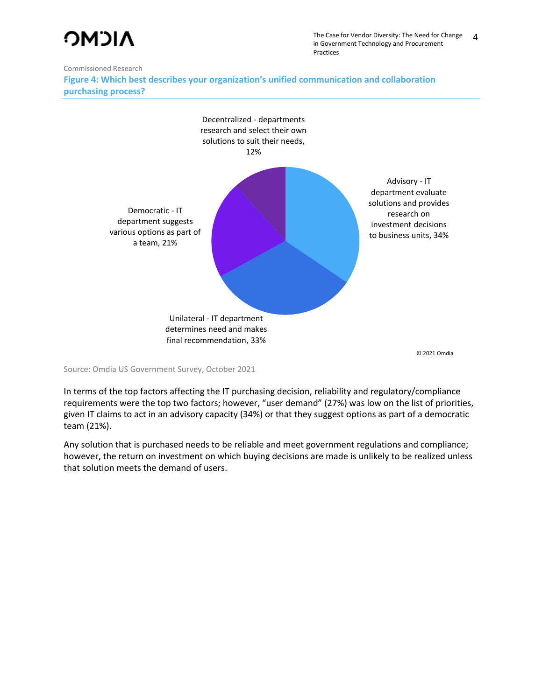## **NICMO**

The Case for Vendor Diversity: The Need for Change in Government Technology and Procurement Practices 4

Commissioned Research

**Figure 4: Which best describes your organization's unified communication and collaboration purchasing process?**



© 2021 Omdia

Source: Omdia US Government Survey, October 2021

In terms of the top factors affecting the IT purchasing decision, reliability and regulatory/compliance requirements were the top two factors; however, "user demand" (27%) was low on the list of priorities, given IT claims to act in an advisory capacity (34%) or that they suggest options as part of a democratic team (21%).

Any solution that is purchased needs to be reliable and meet government regulations and compliance; however, the return on investment on which buying decisions are made is unlikely to be realized unless that solution meets the demand of users.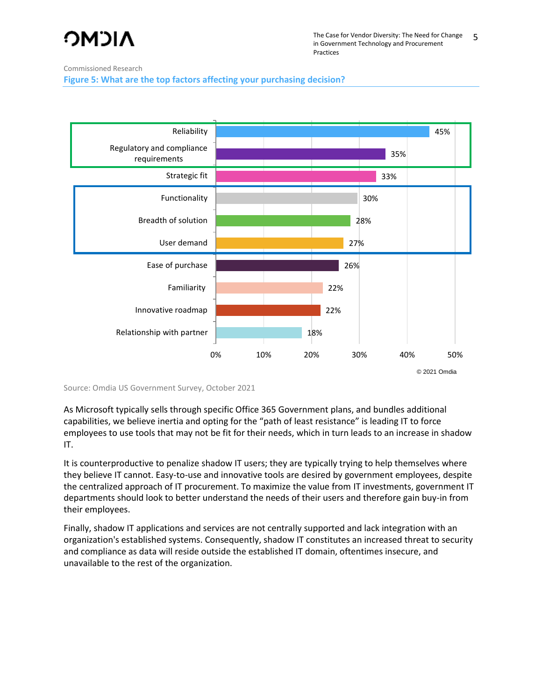# **NICMO**

Commissioned Research

**Figure 5: What are the top factors affecting your purchasing decision?**



Source: Omdia US Government Survey, October 2021

As Microsoft typically sells through specific Office 365 Government plans, and bundles additional capabilities, we believe inertia and opting for the "path of least resistance" is leading IT to force employees to use tools that may not be fit for their needs, which in turn leads to an increase in shadow IT.

It is counterproductive to penalize shadow IT users; they are typically trying to help themselves where they believe IT cannot. Easy-to-use and innovative tools are desired by government employees, despite the centralized approach of IT procurement. To maximize the value from IT investments, government IT departments should look to better understand the needs of their users and therefore gain buy-in from their employees.

Finally, shadow IT applications and services are not centrally supported and lack integration with an organization's established systems. Consequently, shadow IT constitutes an increased threat to security and compliance as data will reside outside the established IT domain, oftentimes insecure, and unavailable to the rest of the organization.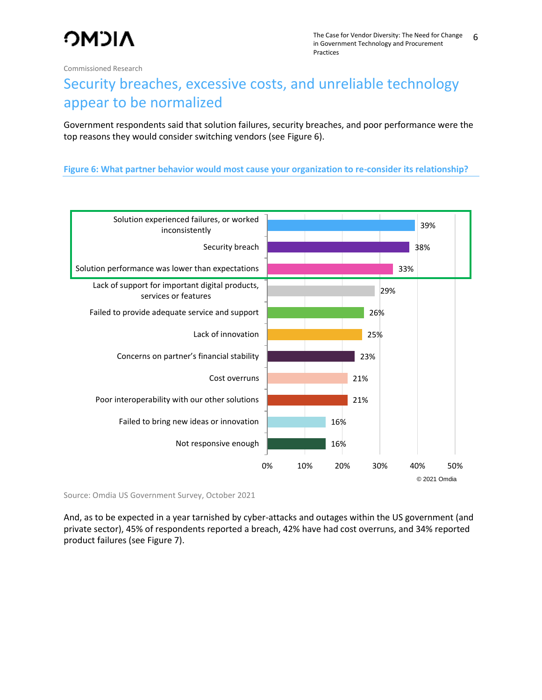## Security breaches, excessive costs, and unreliable technology appear to be normalized

Government respondents said that solution failures, security breaches, and poor performance were the top reasons they would consider switching vendors (see Figure 6).

#### **Figure 6: What partner behavior would most cause your organization to re-consider its relationship?**



Source: Omdia US Government Survey, October 2021

And, as to be expected in a year tarnished by cyber-attacks and outages within the US government (and private sector), 45% of respondents reported a breach, 42% have had cost overruns, and 34% reported product failures (see Figure 7).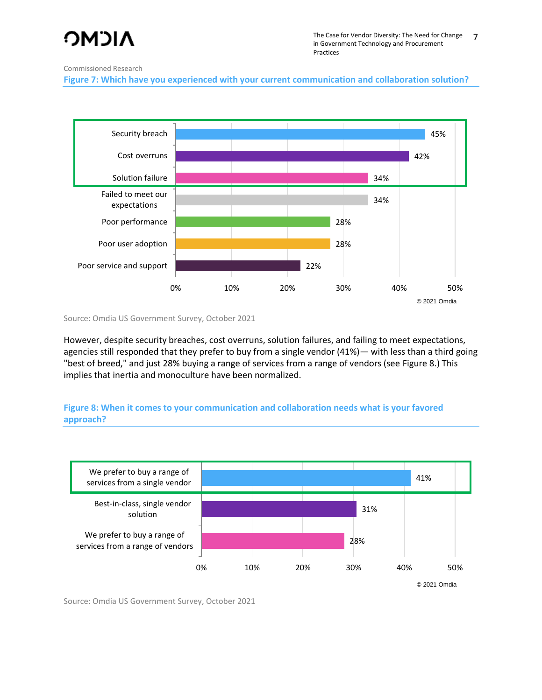# ΩNCMO

#### Commissioned Research

**Figure 7: Which have you experienced with your current communication and collaboration solution?**



Source: Omdia US Government Survey, October 2021

However, despite security breaches, cost overruns, solution failures, and failing to meet expectations, agencies still responded that they prefer to buy from a single vendor (41%)— with less than a third going "best of breed," and just 28% buying a range of services from a range of vendors (see Figure 8.) This implies that inertia and monoculture have been normalized.

#### **Figure 8: When it comes to your communication and collaboration needs what is your favored approach?**



Source: Omdia US Government Survey, October 2021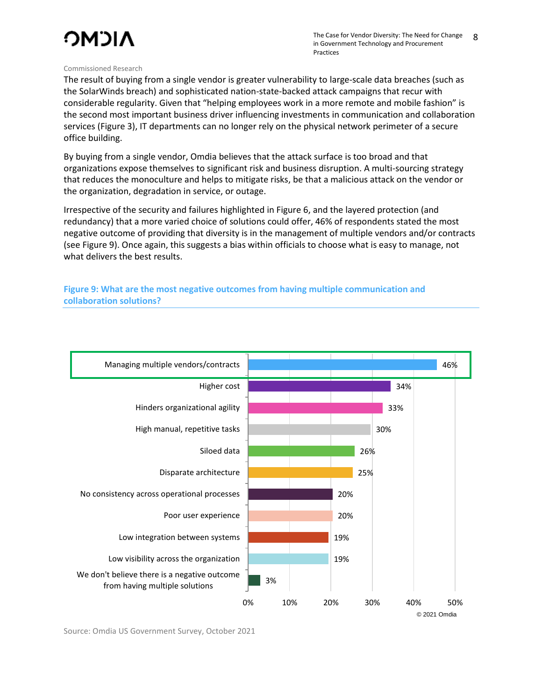# **NICMO**

#### Commissioned Research

The result of buying from a single vendor is greater vulnerability to large-scale data breaches (such as the SolarWinds breach) and sophisticated nation-state-backed attack campaigns that recur with considerable regularity. Given that "helping employees work in a more remote and mobile fashion" is the second most important business driver influencing investments in communication and collaboration services (Figure 3), IT departments can no longer rely on the physical network perimeter of a secure office building.

By buying from a single vendor, Omdia believes that the attack surface is too broad and that organizations expose themselves to significant risk and business disruption. A multi-sourcing strategy that reduces the monoculture and helps to mitigate risks, be that a malicious attack on the vendor or the organization, degradation in service, or outage.

Irrespective of the security and failures highlighted in Figure 6, and the layered protection (and redundancy) that a more varied choice of solutions could offer, 46% of respondents stated the most negative outcome of providing that diversity is in the management of multiple vendors and/or contracts (see Figure 9). Once again, this suggests a bias within officials to choose what is easy to manage, not what delivers the best results.

**Figure 9: What are the most negative outcomes from having multiple communication and collaboration solutions?**



Source: Omdia US Government Survey, October 2021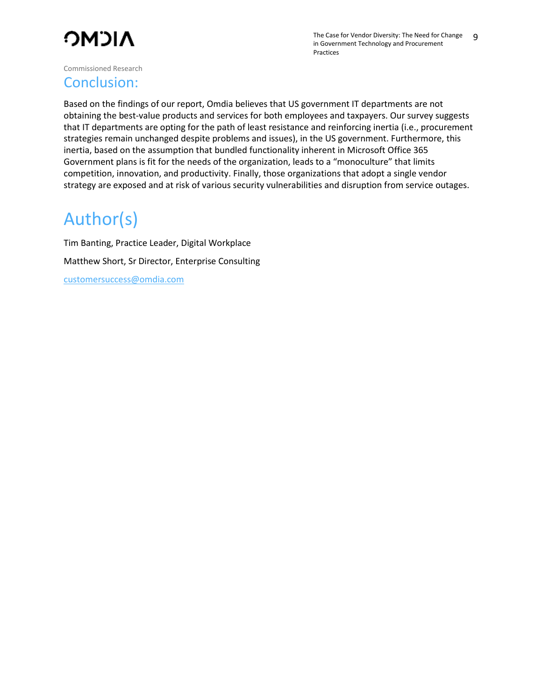

#### Conclusion:

Based on the findings of our report, Omdia believes that US government IT departments are not obtaining the best-value products and services for both employees and taxpayers. Our survey suggests that IT departments are opting for the path of least resistance and reinforcing inertia (i.e., procurement strategies remain unchanged despite problems and issues), in the US government. Furthermore, this inertia, based on the assumption that bundled functionality inherent in Microsoft Office 365 Government plans is fit for the needs of the organization, leads to a "monoculture" that limits competition, innovation, and productivity. Finally, those organizations that adopt a single vendor strategy are exposed and at risk of various security vulnerabilities and disruption from service outages.

## Author(s)

Tim Banting, Practice Leader, Digital Workplace Matthew Short, Sr Director, Enterprise Consulting [customersuccess@omdia.com](mailto:customersuccess@omdia.com)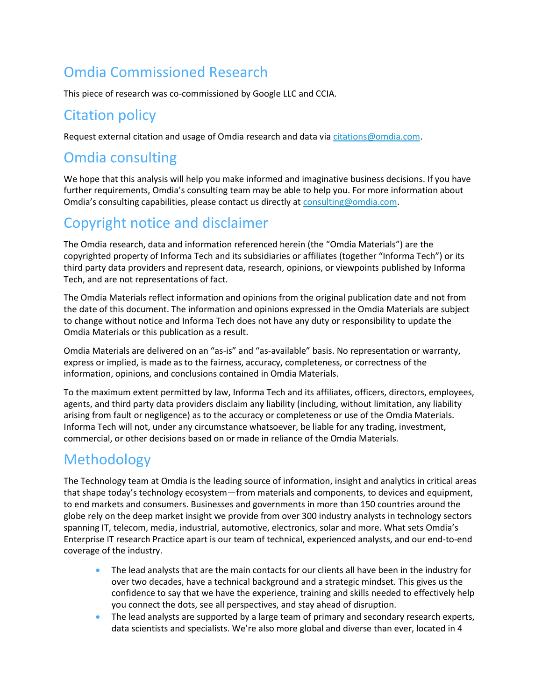## Omdia Commissioned Research

This piece of research was co-commissioned by Google LLC and CCIA.

### Citation policy

Request external citation and usage of Omdia research and data vi[a citations@omdia.com.](mailto:citations@omdia.com)

#### Omdia consulting

We hope that this analysis will help you make informed and imaginative business decisions. If you have further requirements, Omdia's consulting team may be able to help you. For more information about Omdia's consulting capabilities, please contact us directly at [consulting@omdia.com.](mailto:consulting@omdia.com)

### Copyright notice and disclaimer

The Omdia research, data and information referenced herein (the "Omdia Materials") are the copyrighted property of Informa Tech and its subsidiaries or affiliates (together "Informa Tech") or its third party data providers and represent data, research, opinions, or viewpoints published by Informa Tech, and are not representations of fact.

The Omdia Materials reflect information and opinions from the original publication date and not from the date of this document. The information and opinions expressed in the Omdia Materials are subject to change without notice and Informa Tech does not have any duty or responsibility to update the Omdia Materials or this publication as a result.

Omdia Materials are delivered on an "as-is" and "as-available" basis. No representation or warranty, express or implied, is made as to the fairness, accuracy, completeness, or correctness of the information, opinions, and conclusions contained in Omdia Materials.

To the maximum extent permitted by law, Informa Tech and its affiliates, officers, directors, employees, agents, and third party data providers disclaim any liability (including, without limitation, any liability arising from fault or negligence) as to the accuracy or completeness or use of the Omdia Materials. Informa Tech will not, under any circumstance whatsoever, be liable for any trading, investment, commercial, or other decisions based on or made in reliance of the Omdia Materials.

### Methodology

The Technology team at Omdia is the leading source of information, insight and analytics in critical areas that shape today's technology ecosystem—from materials and components, to devices and equipment, to end markets and consumers. Businesses and governments in more than 150 countries around the globe rely on the deep market insight we provide from over 300 industry analysts in technology sectors spanning IT, telecom, media, industrial, automotive, electronics, solar and more. What sets Omdia's Enterprise IT research Practice apart is our team of technical, experienced analysts, and our end-to-end coverage of the industry.

- The lead analysts that are the main contacts for our clients all have been in the industry for over two decades, have a technical background and a strategic mindset. This gives us the confidence to say that we have the experience, training and skills needed to effectively help you connect the dots, see all perspectives, and stay ahead of disruption.
- The lead analysts are supported by a large team of primary and secondary research experts, data scientists and specialists. We're also more global and diverse than ever, located in 4